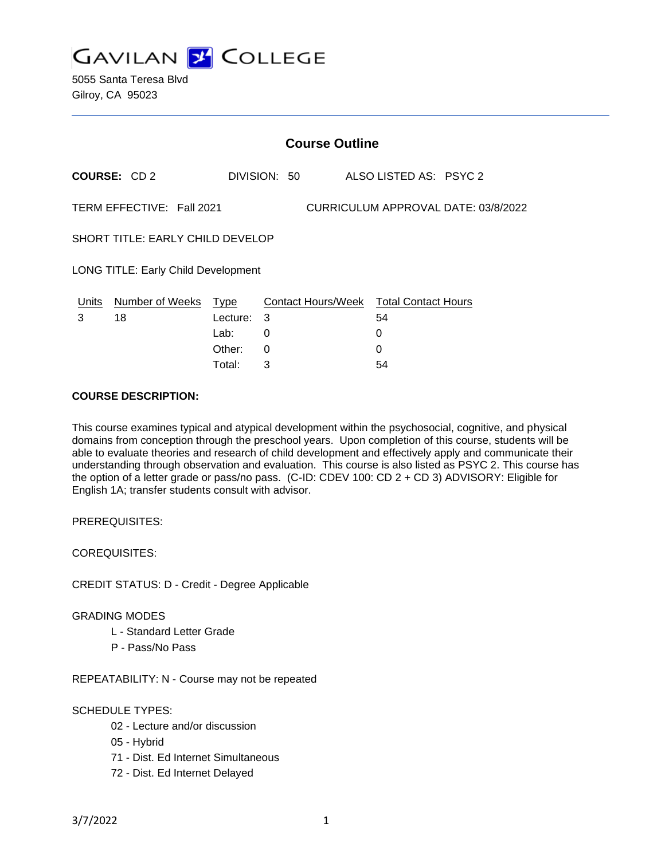

|                                                                  | <b>Course Outline</b> |          |              |   |                                        |  |
|------------------------------------------------------------------|-----------------------|----------|--------------|---|----------------------------------------|--|
|                                                                  | <b>COURSE: CD2</b>    |          | DIVISION: 50 |   | ALSO LISTED AS: PSYC 2                 |  |
| TERM EFFECTIVE: Fall 2021<br>CURRICULUM APPROVAL DATE: 03/8/2022 |                       |          |              |   |                                        |  |
| <b>SHORT TITLE: EARLY CHILD DEVELOP</b>                          |                       |          |              |   |                                        |  |
| LONG TITLE: Early Child Development                              |                       |          |              |   |                                        |  |
| Units                                                            | Number of Weeks Type  |          |              |   | Contact Hours/Week Total Contact Hours |  |
| 3                                                                | 18                    | Lecture: | 3            |   | 54                                     |  |
|                                                                  |                       | Lab:     | 0            | 0 |                                        |  |
|                                                                  |                       | Other:   | $\Omega$     | 0 |                                        |  |
|                                                                  |                       | Total:   | 3            |   | 54                                     |  |

## **COURSE DESCRIPTION:**

This course examines typical and atypical development within the psychosocial, cognitive, and physical domains from conception through the preschool years. Upon completion of this course, students will be able to evaluate theories and research of child development and effectively apply and communicate their understanding through observation and evaluation. This course is also listed as PSYC 2. This course has the option of a letter grade or pass/no pass. (C-ID: CDEV 100: CD 2 + CD 3) ADVISORY: Eligible for English 1A; transfer students consult with advisor.

PREREQUISITES:

COREQUISITES:

CREDIT STATUS: D - Credit - Degree Applicable

### GRADING MODES

- L Standard Letter Grade
- P Pass/No Pass

REPEATABILITY: N - Course may not be repeated

### SCHEDULE TYPES:

- 02 Lecture and/or discussion
- 05 Hybrid
- 71 Dist. Ed Internet Simultaneous
- 72 Dist. Ed Internet Delayed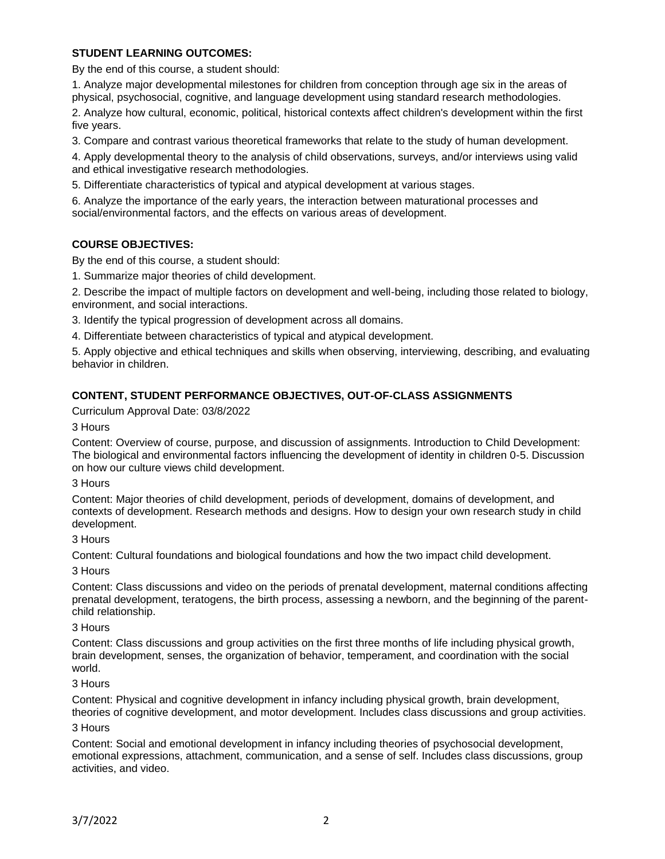## **STUDENT LEARNING OUTCOMES:**

By the end of this course, a student should:

1. Analyze major developmental milestones for children from conception through age six in the areas of physical, psychosocial, cognitive, and language development using standard research methodologies.

2. Analyze how cultural, economic, political, historical contexts affect children's development within the first five years.

3. Compare and contrast various theoretical frameworks that relate to the study of human development.

4. Apply developmental theory to the analysis of child observations, surveys, and/or interviews using valid and ethical investigative research methodologies.

5. Differentiate characteristics of typical and atypical development at various stages.

6. Analyze the importance of the early years, the interaction between maturational processes and social/environmental factors, and the effects on various areas of development.

# **COURSE OBJECTIVES:**

By the end of this course, a student should:

1. Summarize major theories of child development.

2. Describe the impact of multiple factors on development and well-being, including those related to biology, environment, and social interactions.

3. Identify the typical progression of development across all domains.

4. Differentiate between characteristics of typical and atypical development.

5. Apply objective and ethical techniques and skills when observing, interviewing, describing, and evaluating behavior in children.

## **CONTENT, STUDENT PERFORMANCE OBJECTIVES, OUT-OF-CLASS ASSIGNMENTS**

Curriculum Approval Date: 03/8/2022

3 Hours

Content: Overview of course, purpose, and discussion of assignments. Introduction to Child Development: The biological and environmental factors influencing the development of identity in children 0-5. Discussion on how our culture views child development.

### 3 Hours

Content: Major theories of child development, periods of development, domains of development, and contexts of development. Research methods and designs. How to design your own research study in child development.

## 3 Hours

Content: Cultural foundations and biological foundations and how the two impact child development.

### 3 Hours

Content: Class discussions and video on the periods of prenatal development, maternal conditions affecting prenatal development, teratogens, the birth process, assessing a newborn, and the beginning of the parentchild relationship.

### 3 Hours

Content: Class discussions and group activities on the first three months of life including physical growth, brain development, senses, the organization of behavior, temperament, and coordination with the social world.

### 3 Hours

Content: Physical and cognitive development in infancy including physical growth, brain development, theories of cognitive development, and motor development. Includes class discussions and group activities.

### 3 Hours

Content: Social and emotional development in infancy including theories of psychosocial development, emotional expressions, attachment, communication, and a sense of self. Includes class discussions, group activities, and video.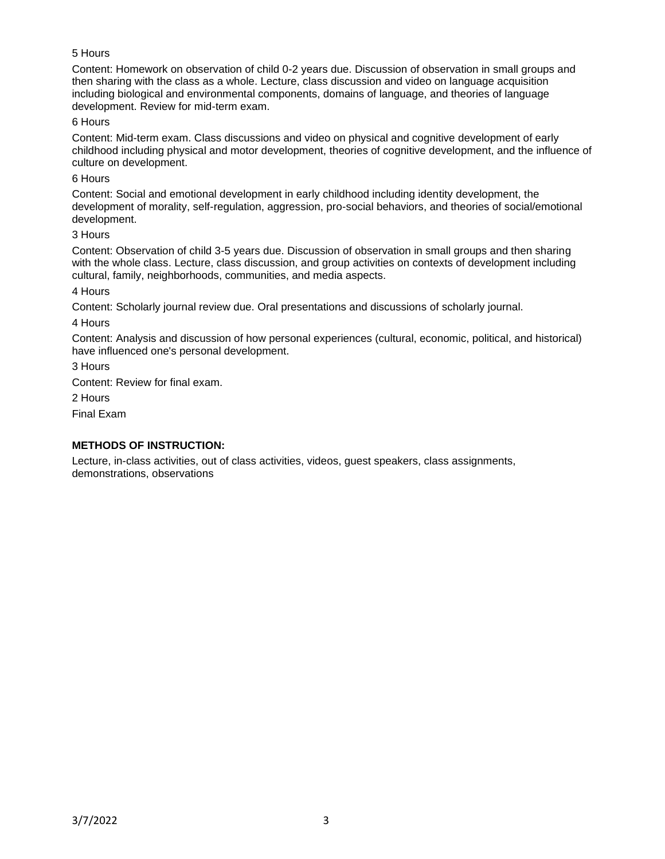# 5 Hours

Content: Homework on observation of child 0-2 years due. Discussion of observation in small groups and then sharing with the class as a whole. Lecture, class discussion and video on language acquisition including biological and environmental components, domains of language, and theories of language development. Review for mid-term exam.

## 6 Hours

Content: Mid-term exam. Class discussions and video on physical and cognitive development of early childhood including physical and motor development, theories of cognitive development, and the influence of culture on development.

## 6 Hours

Content: Social and emotional development in early childhood including identity development, the development of morality, self-regulation, aggression, pro-social behaviors, and theories of social/emotional development.

### 3 Hours

Content: Observation of child 3-5 years due. Discussion of observation in small groups and then sharing with the whole class. Lecture, class discussion, and group activities on contexts of development including cultural, family, neighborhoods, communities, and media aspects.

## 4 Hours

Content: Scholarly journal review due. Oral presentations and discussions of scholarly journal.

## 4 Hours

Content: Analysis and discussion of how personal experiences (cultural, economic, political, and historical) have influenced one's personal development.

3 Hours

Content: Review for final exam.

2 Hours

Final Exam

## **METHODS OF INSTRUCTION:**

Lecture, in-class activities, out of class activities, videos, guest speakers, class assignments, demonstrations, observations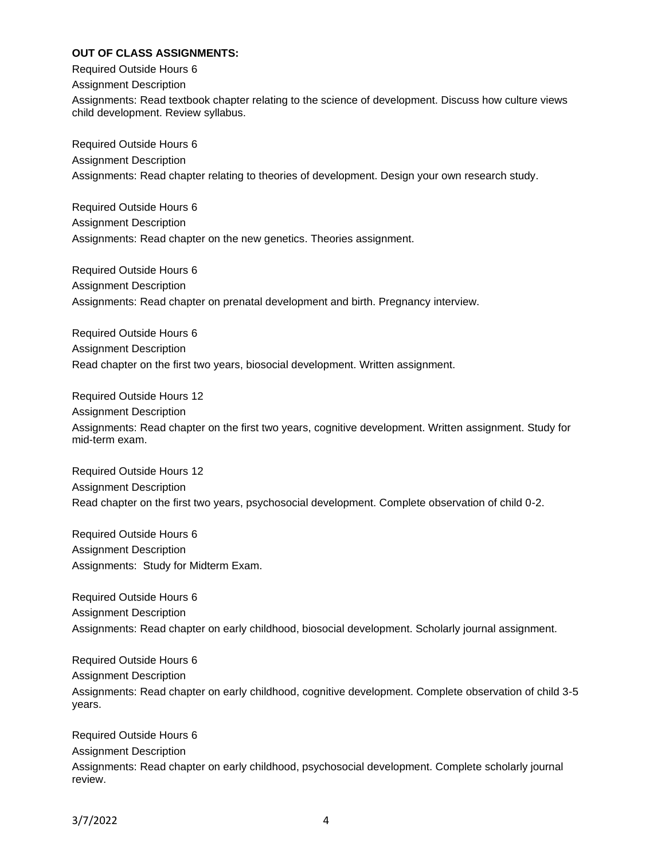## **OUT OF CLASS ASSIGNMENTS:**

Required Outside Hours 6 Assignment Description Assignments: Read textbook chapter relating to the science of development. Discuss how culture views child development. Review syllabus.

Required Outside Hours 6 Assignment Description Assignments: Read chapter relating to theories of development. Design your own research study.

Required Outside Hours 6 Assignment Description Assignments: Read chapter on the new genetics. Theories assignment.

Required Outside Hours 6 Assignment Description Assignments: Read chapter on prenatal development and birth. Pregnancy interview.

Required Outside Hours 6 Assignment Description Read chapter on the first two years, biosocial development. Written assignment.

Required Outside Hours 12 Assignment Description Assignments: Read chapter on the first two years, cognitive development. Written assignment. Study for mid-term exam.

Required Outside Hours 12 Assignment Description Read chapter on the first two years, psychosocial development. Complete observation of child 0-2.

Required Outside Hours 6 Assignment Description Assignments: Study for Midterm Exam.

Required Outside Hours 6 Assignment Description Assignments: Read chapter on early childhood, biosocial development. Scholarly journal assignment.

Required Outside Hours 6 Assignment Description Assignments: Read chapter on early childhood, cognitive development. Complete observation of child 3-5 years.

Required Outside Hours 6 Assignment Description Assignments: Read chapter on early childhood, psychosocial development. Complete scholarly journal review.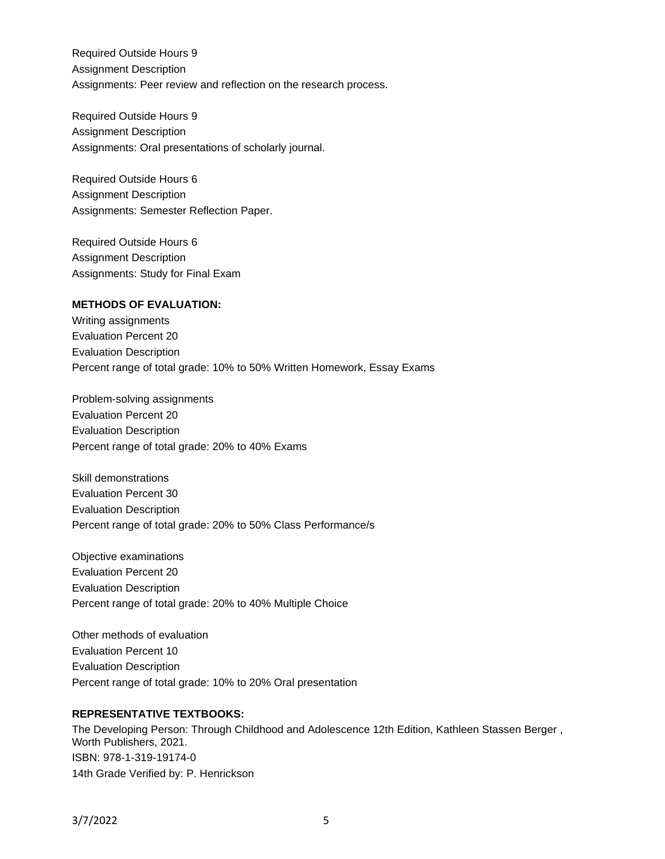Required Outside Hours 9 Assignment Description Assignments: Peer review and reflection on the research process.

Required Outside Hours 9 Assignment Description Assignments: Oral presentations of scholarly journal.

Required Outside Hours 6 Assignment Description Assignments: Semester Reflection Paper.

Required Outside Hours 6 Assignment Description Assignments: Study for Final Exam

# **METHODS OF EVALUATION:**

Writing assignments Evaluation Percent 20 Evaluation Description Percent range of total grade: 10% to 50% Written Homework, Essay Exams

Problem-solving assignments Evaluation Percent 20 Evaluation Description Percent range of total grade: 20% to 40% Exams

Skill demonstrations Evaluation Percent 30 Evaluation Description Percent range of total grade: 20% to 50% Class Performance/s

Objective examinations Evaluation Percent 20 Evaluation Description Percent range of total grade: 20% to 40% Multiple Choice

Other methods of evaluation Evaluation Percent 10 Evaluation Description Percent range of total grade: 10% to 20% Oral presentation

### **REPRESENTATIVE TEXTBOOKS:**

The Developing Person: Through Childhood and Adolescence 12th Edition, Kathleen Stassen Berger , Worth Publishers, 2021. ISBN: 978-1-319-19174-0 14th Grade Verified by: P. Henrickson